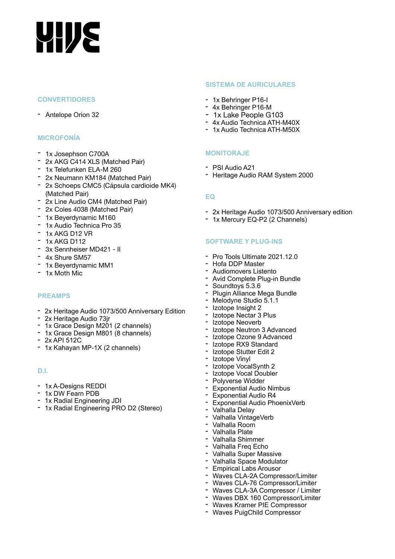# **YHJE**

### **CONVERTIDORES**

- Antelope Orion 32

## **MICROFONÍA**

- 1x Josephson C700A
- 2x AKG C414 XLS (Matched Pair)
- 1x Telefunken ELA-M 260
- 2x Neumann KM184 (Matched Pair)
- 2x Schoeps CMC5 (Cápsula cardioide MK4) (Matched Pair)
- 2x Line Audio CM4 (Matched Pair)
- 2x Coles 4038 (Matched Pair)
- 1x Beyerdynamic M160
- 1x Audio Technica Pro 35
- 1x AKG D12 VR
- 1x AKG D112
- 3x Sennheiser MD421 II
- 4x Shure SM57
- 1x Beyerdynamic MM1
- 1x Moth Mic

# **PREAMPS**

- 2x Heritage Audio 1073/500 Anniversary Edition
- 2x Heritage Audio 73jr
- 1x Grace Design M201 (2 channels)
- 1x Grace Design M801 (8 channels)
- 2x API 512C
- 1x Kahayan MP-1X (2 channels)

# **D.I.**

- 1x A-Designs REDDI
- 1x DW Fearn PDB
- 1x Radial Engineering JDI
- 1x Radial Engineering PRO D2 (Stereo)

#### **SISTEMA DE AURICULARES**

- 1x Behringer P16-I
- 4x Behringer P16-M
- 1x Lake People G103 4x Audio Technica ATH-M40X
- 
- 1x Audio Technica ATH-M50X

### **MONITORAJE**

- PSI Audio A21
- Heritage Audio RAM System 2000

#### **EQ**

- 2x Heritage Audio 1073/500 Anniversary edition
- 1x Mercury EQ-P2 (2 Channels)

#### **SOFTWARE Y PLUG-INS**

- Pro Tools Ultimate 2021.12.0
- Hofa DDP Master
- Audiomovers Listento
- Avid Complete Plug-in Bundle
- Soundtoys 5.3.6
- Plugin Alliance Mega Bundle
- Melodyne Studio 5.1.1
- Izotope Insight 2
- Izotope Nectar 3 Plus
- Izotope Neoverb
- Izotope Neutron 3 Advanced
- Izotope Ozone 9 Advanced
- Izotope RX9 Standard
- Izotope Stutter Edit 2
- Izotope Vinyl
- Izotope VocalSynth 2
- Izotope Vocal Doubler
- Polyverse Widder
- Exponential Audio Nimbus
- Exponential Audio R4
- Exponential Audio PhoenixVerb
- Valhalla Delay
- Valhalla VintageVerb
- Valhalla Room
- Valhalla Plate
- Valhalla Shimmer - Valhalla Freq Echo
- 
- Valhalla Super Massive - Valhalla Space Modulator
- Empirical Labs Arousor
- Waves CLA-2A Compressor/Limiter
- Waves CLA-76 Compressor/Limiter
- Waves CLA-3A Compressor / Limiter
- Waves DBX 160 Compressor/Limiter
- Waves Kramer PIE Compressor
- Waves PuigChild Compressor